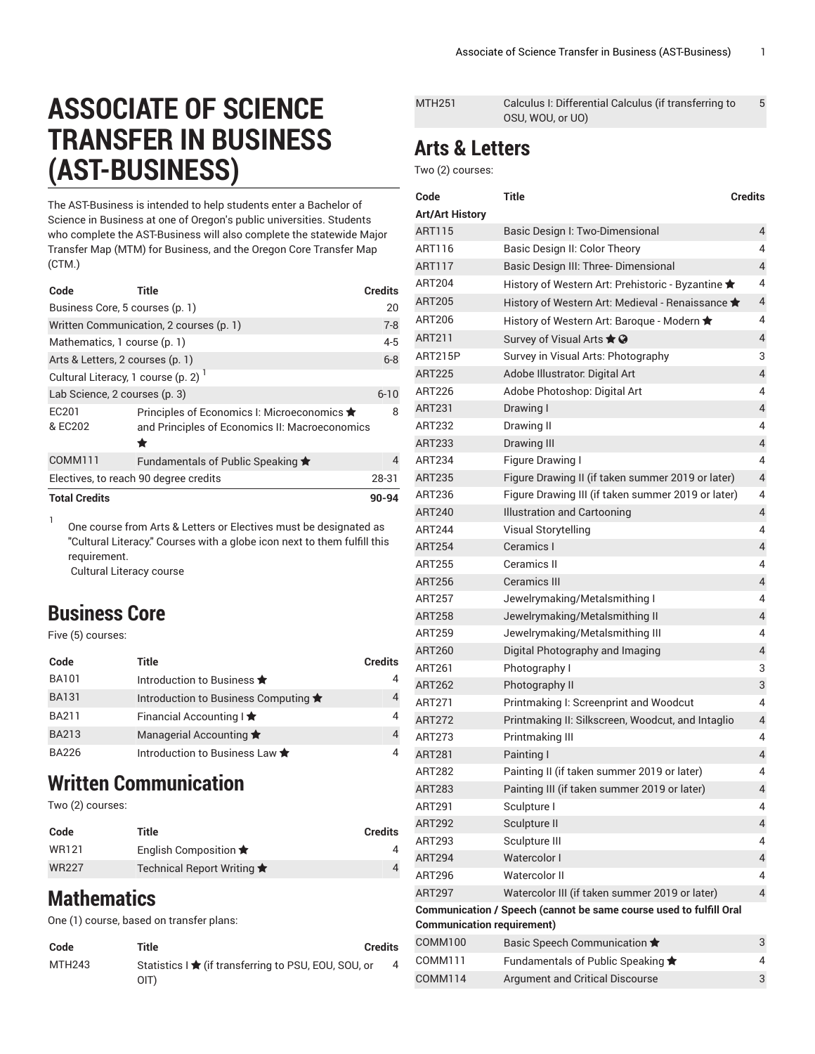# **ASSOCIATE OF SCIENCE TRANSFER IN BUSINESS (AST-BUSINESS)**

The AST-Business is intended to help students enter a Bachelor of Science in Business at one of Oregon's public universities. Students who complete the AST-Business will also complete the statewide Major Transfer Map (MTM) for Business, and the Oregon Core Transfer Map (CTM.)

| Code                                            | Title                                                                                              | <b>Credits</b> |
|-------------------------------------------------|----------------------------------------------------------------------------------------------------|----------------|
| Business Core, 5 courses (p. 1)                 |                                                                                                    | 20             |
|                                                 | Written Communication, 2 courses (p. 1)                                                            | $7 - 8$        |
| Mathematics, 1 course (p. 1)                    |                                                                                                    | $4 - 5$        |
| Arts & Letters, 2 courses (p. 1)                |                                                                                                    | $6 - 8$        |
| Cultural Literacy, 1 course (p. 2) <sup>1</sup> |                                                                                                    |                |
| Lab Science, 2 courses (p. 3)                   |                                                                                                    | $6 - 10$       |
| EC201<br>& EC202                                | Principles of Economics I: Microeconomics ★<br>and Principles of Economics II: Macroeconomics<br>÷ | 8              |
| COMM111                                         | Fundamentals of Public Speaking $\bigstar$                                                         | 4              |
|                                                 | Electives, to reach 90 degree credits                                                              | 28-31          |
| <b>Total Credits</b>                            |                                                                                                    | 90-94          |

1 One course from Arts & Letters or Electives must be designated as "Cultural Literacy." Courses with a globe icon next to them fulfill this requirement.

Cultural Literacy course

### <span id="page-0-0"></span>**Business Core**

Five (5) courses:

| Code         | Title                                   | <b>Credits</b> |
|--------------|-----------------------------------------|----------------|
| <b>BA101</b> | Introduction to Business $\bigstar$     | 4              |
| <b>BA131</b> | Introduction to Business Computing ★    | 4              |
| <b>BA211</b> | Financial Accounting I $\bigstar$       | 4              |
| <b>BA213</b> | Managerial Accounting $\bigstar$        | 4              |
| BA226        | Introduction to Business Law $\bigstar$ | 4              |

### <span id="page-0-1"></span>**Written Communication**

Two (2) courses:

| Code         | Title                               | <b>Credits</b> |
|--------------|-------------------------------------|----------------|
| WR121        | English Composition $\bigstar$      |                |
| <b>WR227</b> | Technical Report Writing $\bigstar$ |                |

## <span id="page-0-2"></span>**Mathematics**

One (1) course, based on transfer plans:

| Code   | Title                                                | <b>Credits</b> |
|--------|------------------------------------------------------|----------------|
| MTH243 | Statistics I ★ (if transferring to PSU, EOU, SOU, or |                |
|        | OIT)                                                 |                |

| Arta 0   attara |                                                       |   |
|-----------------|-------------------------------------------------------|---|
|                 | OSU, WOU, or UO)                                      |   |
| MTH251          | Calculus I: Differential Calculus (if transferring to | 5 |
|                 |                                                       |   |

#### <span id="page-0-3"></span>**Arts & Letters**

Two (2) courses:

| <b>Title</b><br>Code                                                                                    |                                                    | <b>Credits</b>          |  |
|---------------------------------------------------------------------------------------------------------|----------------------------------------------------|-------------------------|--|
| <b>Art/Art History</b>                                                                                  |                                                    |                         |  |
| <b>ART115</b>                                                                                           | Basic Design I: Two-Dimensional                    | 4                       |  |
| ART116                                                                                                  | Basic Design II: Color Theory                      | 4                       |  |
| ART117                                                                                                  | Basic Design III: Three-Dimensional                | 4                       |  |
| ART204                                                                                                  | History of Western Art: Prehistoric - Byzantine ★  | 4                       |  |
| <b>ART205</b>                                                                                           | History of Western Art: Medieval - Renaissance ★   | 4                       |  |
| ART206                                                                                                  | History of Western Art: Baroque - Modern ★         | 4                       |  |
| ART211                                                                                                  | Survey of Visual Arts $\bigstar$ $\bigcirc$        | 4                       |  |
| <b>ART215P</b>                                                                                          | Survey in Visual Arts: Photography                 | 3                       |  |
| <b>ART225</b>                                                                                           | Adobe Illustrator. Digital Art                     | $\overline{4}$          |  |
| <b>ART226</b>                                                                                           | Adobe Photoshop: Digital Art                       | 4                       |  |
| ART231                                                                                                  | Drawing I                                          | $\sqrt{4}$              |  |
| ART232                                                                                                  | Drawing II                                         | 4                       |  |
| <b>ART233</b>                                                                                           | Drawing III                                        | $\overline{4}$          |  |
| ART234                                                                                                  | Figure Drawing I                                   | 4                       |  |
| ART235                                                                                                  | Figure Drawing II (if taken summer 2019 or later)  | $\overline{4}$          |  |
| ART236                                                                                                  | Figure Drawing III (if taken summer 2019 or later) | 4                       |  |
| <b>ART240</b>                                                                                           | Illustration and Cartooning                        | $\overline{4}$          |  |
| <b>ART244</b>                                                                                           | Visual Storytelling                                | 4                       |  |
| <b>ART254</b>                                                                                           | Ceramics I                                         | 4                       |  |
| <b>ART255</b>                                                                                           | Ceramics II                                        | 4                       |  |
| <b>ART256</b>                                                                                           | <b>Ceramics III</b>                                | $\overline{4}$          |  |
| <b>ART257</b>                                                                                           | Jewelrymaking/Metalsmithing I                      | 4                       |  |
| <b>ART258</b>                                                                                           | Jewelrymaking/Metalsmithing II                     | $\overline{4}$          |  |
| ART259                                                                                                  | Jewelrymaking/Metalsmithing III                    | 4                       |  |
| <b>ART260</b>                                                                                           | Digital Photography and Imaging                    | 4                       |  |
| ART261                                                                                                  | Photography I                                      | 3                       |  |
| <b>ART262</b>                                                                                           | Photography II                                     | 3                       |  |
| <b>ART271</b>                                                                                           | Printmaking I: Screenprint and Woodcut             | 4                       |  |
| <b>ART272</b>                                                                                           | Printmaking II: Silkscreen, Woodcut, and Intaglio  | $\overline{4}$          |  |
| <b>ART273</b>                                                                                           | Printmaking III                                    | 4                       |  |
| <b>ART281</b>                                                                                           | Painting I                                         | 4                       |  |
| <b>ART282</b>                                                                                           | Painting II (if taken summer 2019 or later)        | 4                       |  |
| <b>ART283</b>                                                                                           | Painting III (if taken summer 2019 or later)       | $\overline{\mathbf{4}}$ |  |
| <b>ART291</b>                                                                                           | Sculpture I                                        | 4                       |  |
| <b>ART292</b>                                                                                           | Sculpture II                                       | $\overline{4}$          |  |
| ART293                                                                                                  | Sculpture III                                      | 4                       |  |
| <b>ART294</b>                                                                                           | Watercolor I                                       | 4                       |  |
| ART296                                                                                                  | Watercolor II                                      | 4                       |  |
| <b>ART297</b>                                                                                           | Watercolor III (if taken summer 2019 or later)     | $\overline{4}$          |  |
| Communication / Speech (cannot be same course used to fulfill Oral<br><b>Communication requirement)</b> |                                                    |                         |  |
| COMM100                                                                                                 | Basic Speech Communication ★                       | 3                       |  |
| COMM111                                                                                                 | Fundamentals of Public Speaking *                  | 4                       |  |
| <b>COMM114</b>                                                                                          | Argument and Critical Discourse                    | 3                       |  |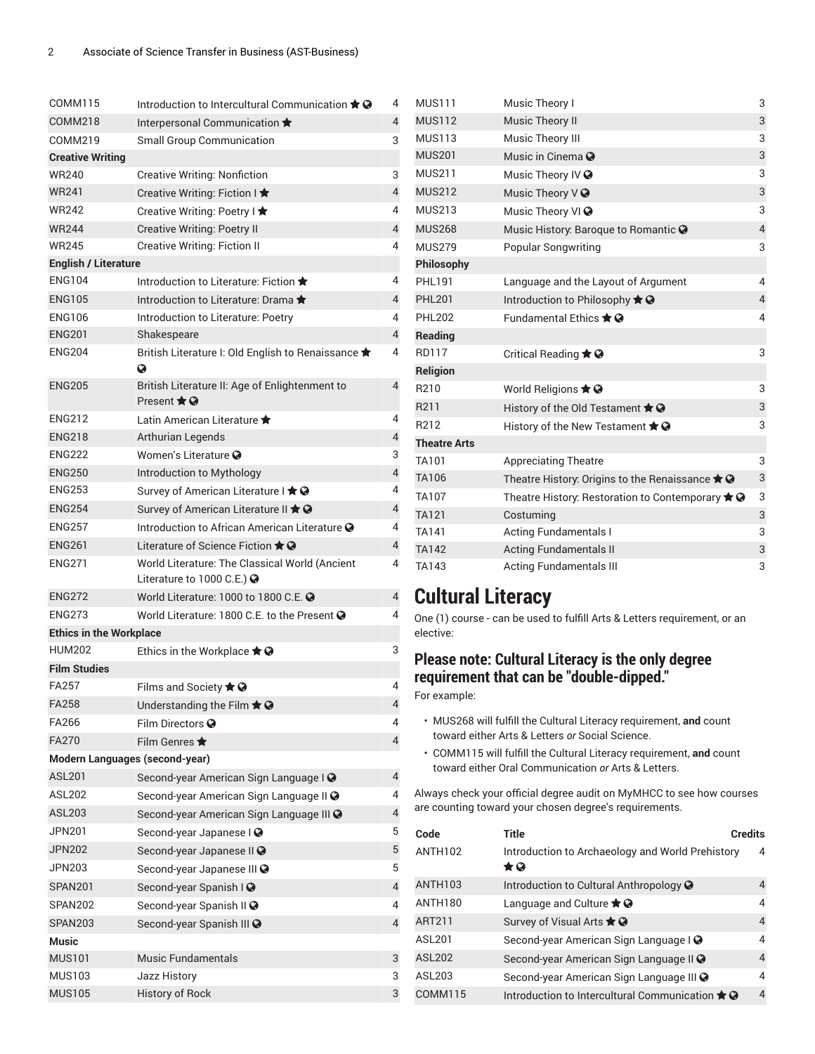| COMM115                        | Introduction to Intercultural Communication $\bigstar \mathcal{Q}$                 | 4              |
|--------------------------------|------------------------------------------------------------------------------------|----------------|
| COMM218                        | Interpersonal Communication *                                                      | 4              |
| COMM219                        | <b>Small Group Communication</b>                                                   | 3              |
| <b>Creative Writing</b>        |                                                                                    |                |
| <b>WR240</b>                   | <b>Creative Writing: Nonfiction</b>                                                | 3              |
| <b>WR241</b>                   | Creative Writing: Fiction I $\bigstar$                                             | 4              |
| <b>WR242</b>                   | Creative Writing: Poetry I ★                                                       | 4              |
| <b>WR244</b>                   | <b>Creative Writing: Poetry II</b>                                                 | $\overline{4}$ |
| <b>WR245</b>                   | <b>Creative Writing: Fiction II</b>                                                | 4              |
| <b>English / Literature</b>    |                                                                                    |                |
| <b>ENG104</b>                  | Introduction to Literature: Fiction *                                              | 4              |
| <b>ENG105</b>                  | Introduction to Literature: Drama                                                  | 4              |
| <b>ENG106</b>                  | Introduction to Literature: Poetry                                                 | 4              |
| <b>ENG201</b>                  | Shakespeare                                                                        | 4              |
| <b>ENG204</b>                  | British Literature I: Old English to Renaissance ★<br>Q                            | 4              |
| <b>ENG205</b>                  | British Literature II: Age of Enlightenment to<br>Present $\bigstar$ $\Omega$      | $\overline{4}$ |
| <b>ENG212</b>                  | I atin American Literature                                                         | 4              |
| <b>ENG218</b>                  | <b>Arthurian Legends</b>                                                           | $\overline{4}$ |
| <b>ENG222</b>                  | Women's Literature <sup>3</sup>                                                    | 3              |
| <b>ENG250</b>                  | Introduction to Mythology                                                          | $\overline{4}$ |
| <b>ENG253</b>                  | Survey of American Literature I ★ ?                                                | 4              |
| <b>ENG254</b>                  | Survey of American Literature II $\bigstar$ $\odot$                                | 4              |
| <b>ENG257</b>                  | Introduction to African American Literature @                                      | 4              |
| <b>ENG261</b>                  | Literature of Science Fiction $\bigstar \mathcal{Q}$                               | 4              |
| <b>ENG271</b>                  | World Literature: The Classical World (Ancient<br>Literature to 1000 C.E.) $\odot$ | 4              |
| <b>ENG272</b>                  | World Literature: 1000 to 1800 C.E. @                                              | $\overline{4}$ |
| <b>ENG273</b>                  | World Literature: 1800 C.E. to the Present @                                       | 4              |
| <b>Ethics in the Workplace</b> |                                                                                    |                |
| <b>HUM202</b>                  | Ethics in the Workplace $\bigstar \mathcal{Q}$                                     | 3              |
| <b>Film Studies</b>            |                                                                                    |                |
| FA257                          | Films and Society $\bigstar \mathbf{\Theta}$                                       | 4              |
| <b>FA258</b>                   | Understanding the Film $\bigstar$ $\odot$                                          | 4              |
| FA266                          | Film Directors <sup>O</sup>                                                        | 4              |
| <b>FA270</b>                   | Film Genres $\bigstar$                                                             | $\overline{4}$ |
| Modern Languages (second-year) |                                                                                    |                |
| <b>ASL201</b>                  | Second-year American Sign Language I @                                             | 4              |
| ASL202                         | Second-year American Sign Language II @                                            | 4              |
| ASL203                         | Second-year American Sign Language III @                                           | $\overline{4}$ |
| <b>JPN201</b>                  | Second-year Japanese I @                                                           | 5              |
| <b>JPN202</b>                  | Second-year Japanese II ?                                                          | 5              |
| <b>JPN203</b>                  | Second-year Japanese III @                                                         | 5              |
| SPAN201                        | Second-year Spanish I @                                                            | 4              |
| SPAN202                        | Second-year Spanish II @                                                           | 4              |
| SPAN203                        | Second-year Spanish III @                                                          | $\overline{4}$ |
| Music                          |                                                                                    |                |
| <b>MUS101</b>                  | <b>Music Fundamentals</b>                                                          | 3              |
| <b>MUS103</b>                  | Jazz History                                                                       | 3              |
| <b>MUS105</b>                  | <b>History of Rock</b>                                                             | 3              |

| <b>MUS111</b>       | Music Theory I                                                          | 3              |
|---------------------|-------------------------------------------------------------------------|----------------|
| <b>MUS112</b>       | Music Theory II                                                         | 3              |
| <b>MUS113</b>       | Music Theory III                                                        | 3              |
| <b>MUS201</b>       | Music in Cinema $\odot$                                                 | 3              |
| <b>MUS211</b>       | Music Theory IV @                                                       | 3              |
| <b>MUS212</b>       | Music Theory $V\bigcirc$                                                | 3              |
| <b>MUS213</b>       | Music Theory VI ?                                                       | 3              |
| <b>MUS268</b>       | Music History: Baroque to Romantic @                                    | $\overline{4}$ |
| <b>MUS279</b>       | <b>Popular Songwriting</b>                                              | 3              |
| <b>Philosophy</b>   |                                                                         |                |
| <b>PHL191</b>       | Language and the Layout of Argument                                     | 4              |
| <b>PHL201</b>       | Introduction to Philosophy ★ <b>●</b>                                   | $\overline{4}$ |
| <b>PHL202</b>       | Fundamental Ethics $\bigstar \Omega$                                    | 4              |
| Reading             |                                                                         |                |
| <b>RD117</b>        | Critical Reading $\bigstar$ $\odot$                                     | 3              |
| <b>Religion</b>     |                                                                         |                |
| R210                | World Religions $\bigstar$ $\odot$                                      | 3              |
| R211                | History of the Old Testament $\bigstar \mathcal{Q}$                     | 3              |
| R212                | History of the New Testament $\bigstar \mathbf{\Theta}$                 | 3              |
| <b>Theatre Arts</b> |                                                                         |                |
| TA101               | <b>Appreciating Theatre</b>                                             | 3              |
| TA106               | Theatre History: Origins to the Renaissance $\bigstar \mathbf{\Theta}$  | 3              |
| TA107               | Theatre History: Restoration to Contemporary $\bigstar \mathbf{\Theta}$ | 3              |
| <b>TA121</b>        | Costuming                                                               | 3              |
| TA141               | <b>Acting Fundamentals I</b>                                            | 3              |
| <b>TA142</b>        | <b>Acting Fundamentals II</b>                                           | 3              |
| TA143               | <b>Acting Fundamentals III</b>                                          | 3              |

### <span id="page-1-0"></span>**Cultural Literacy**

One (1) course - can be used to fulfill Arts & Letters requirement, or an elective:

#### **Please note: Cultural Literacy is the only degree requirement that can be "double-dipped."**

For example:

- MUS268 will fulfill the Cultural Literacy requirement, **and** count toward either Arts & Letters *or* Social Science.
- COMM115 will fulfill the Cultural Literacy requirement, **and** count toward either Oral Communication *or* Arts & Letters.

Always check your official degree audit on MyMHCC to see how courses are counting toward your chosen degree's requirements.

| Code                | <b>Title</b>                                                  | <b>Credits</b> |
|---------------------|---------------------------------------------------------------|----------------|
| <b>ANTH102</b>      | Introduction to Archaeology and World Prehistory<br>$\star$ Q | 4              |
| ANTH <sub>103</sub> | Introduction to Cultural Anthropology <b>@</b>                | 4              |
| <b>ANTH180</b>      | Language and Culture $\bigstar \mathcal{Q}$                   | 4              |
| ART211              | Survey of Visual Arts $\bigstar$ $\bigcirc$                   | 4              |
| ASL201              | Second-year American Sign Language I @                        | 4              |
| <b>ASL202</b>       | Second-year American Sign Language II O                       | 4              |
| <b>ASL203</b>       | Second-year American Sign Language III @                      | 4              |
| COMM115             | Introduction to Intercultural Communication $\bigstar \Omega$ | $\overline{4}$ |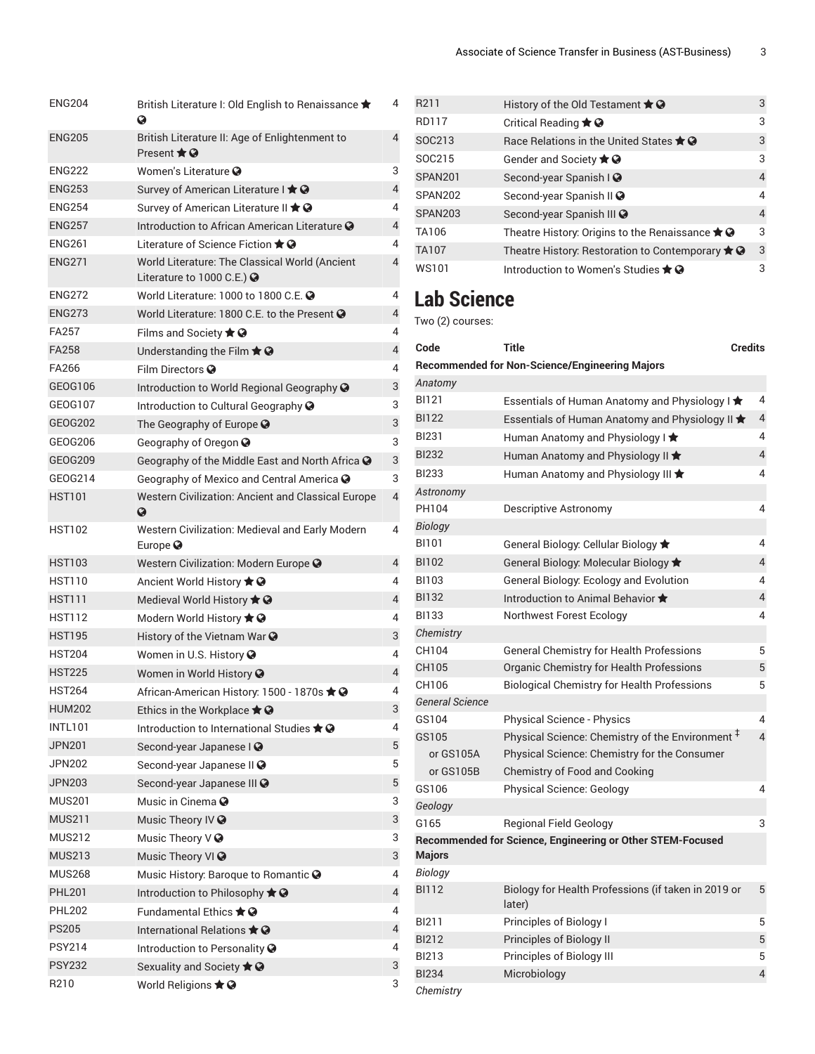| British Literature I: Old English to Renaissance ★<br>Ø                            | 4              |
|------------------------------------------------------------------------------------|----------------|
| British Literature II: Age of Enlightenment to<br>Present $\bigstar$ $\odot$       | 4              |
| Women's Literature @                                                               | 3              |
| Survey of American Literature I ★ ●                                                | $\overline{4}$ |
| Survey of American Literature II $\bigstar \mathcal{Q}$                            | 4              |
| Introduction to African American Literature @                                      | $\overline{4}$ |
| Literature of Science Fiction $\bigstar$ $\bullet$                                 | 4              |
| World Literature: The Classical World (Ancient<br>Literature to 1000 C.E.) $\odot$ | 4              |
| World Literature: 1000 to 1800 C.E. @                                              | 4              |
| World Literature: 1800 C.E. to the Present @                                       | $\overline{4}$ |
| Films and Society $\bigstar \mathbf{Q}$                                            | 4              |
| Understanding the Film $\bigstar$ $\bigcirc$                                       | $\overline{4}$ |
| Film Directors @                                                                   | 4              |
| Introduction to World Regional Geography @                                         | 3              |
| Introduction to Cultural Geography @                                               | 3              |
| The Geography of Europe ?                                                          | 3              |
| Geography of Oregon @                                                              | 3              |
| Geography of the Middle East and North Africa @                                    | 3              |
| Geography of Mexico and Central America $\bullet$                                  | 3              |
| Western Civilization: Ancient and Classical Europe<br>➊                            | $\overline{4}$ |
| Western Civilization: Medieval and Early Modern<br>Europe $\odot$                  | 4              |
| Western Civilization: Modern Europe @                                              | $\overline{4}$ |
| Ancient World History $\bigstar \mathcal{Q}$                                       | 4              |
| Medieval World History $\bigstar \mathbf{\odot}$                                   | 4              |
| Modern World History $\bigstar \mathbf{\Theta}$                                    | 4              |
|                                                                                    |                |
| History of the Vietnam War $\odot$                                                 | 3              |
| Women in U.S. History @                                                            | 4              |
| Women in World History @                                                           | $\overline{4}$ |
| African-American History: 1500 - 1870s ★ ●                                         | 4              |
| Ethics in the Workplace $\bigstar \mathbf{\Theta}$                                 | 3              |
| Introduction to International Studies $\bigstar \mathcal{Q}$                       | 4              |
| Second-year Japanese I Ø                                                           | 5              |
| Second-year Japanese II O                                                          | 5              |
| Second-year Japanese III ?                                                         | 5              |
| Music in Cinema $\bullet$                                                          | 3              |
| Music Theory IV @                                                                  | 3              |
| Music Theory $\vee$ $\odot$                                                        | 3              |
| Music Theory VI ?                                                                  | 3              |
| Music History: Baroque to Romantic @                                               | 4              |
| Introduction to Philosophy ★ ?                                                     | $\overline{4}$ |
| Fundamental Ethics $\bigstar \Omega$                                               | 4              |
| International Relations $\bigstar \mathcal{Q}$                                     | 4              |
| Introduction to Personality <sup>3</sup>                                           | 4              |
| Sexuality and Society $\bigstar \mathbf{\odot}$                                    | 3              |
|                                                                                    |                |

| R <sub>211</sub> | History of the Old Testament $\bigstar \mathbf{Q}$                 | 3              |
|------------------|--------------------------------------------------------------------|----------------|
| <b>RD117</b>     | Critical Reading $\bigstar \mathcal{Q}$                            | 3              |
| SOC213           | Race Relations in the United States $\bigstar \mathcal{Q}$         | 3              |
| SOC215           | Gender and Society $\bigstar \mathbf{Q}$                           | 3              |
| <b>SPAN201</b>   | Second-year Spanish I @                                            | 4              |
| SPAN202          | Second-year Spanish II @                                           | 4              |
| <b>SPAN203</b>   | Second-year Spanish III @                                          | $\overline{4}$ |
| TA106            | Theatre History: Origins to the Renaissance * @                    | 3              |
| <b>TA107</b>     | Theatre History: Restoration to Contemporary $\bigstar \mathbf{Q}$ | 3              |
| WS101            | Introduction to Women's Studies $\bigstar \mathcal{Q}$             | 3              |
|                  |                                                                    |                |

### <span id="page-2-0"></span>**Lab Science**

Two (2) courses:

| 4                       | Code                    | Title                                                         | Credits        |
|-------------------------|-------------------------|---------------------------------------------------------------|----------------|
| 4                       |                         | <b>Recommended for Non-Science/Engineering Majors</b>         |                |
| $\mathsf 3$             | Anatomy                 |                                                               |                |
| 3                       | BI121                   | Essentials of Human Anatomy and Physiology I $\bigstar$       | 4              |
| 3                       | <b>BI122</b>            | Essentials of Human Anatomy and Physiology II $\bigstar$      | 4              |
| 3                       | <b>BI231</b>            | Human Anatomy and Physiology I $\bigstar$                     | 4              |
| 3                       | <b>BI232</b>            | Human Anatomy and Physiology II $\bigstar$                    | $\overline{4}$ |
| 3                       | <b>BI233</b>            | Human Anatomy and Physiology III $\bigstar$                   | 4              |
| 4                       | Astronomy               |                                                               |                |
|                         | PH104                   | <b>Descriptive Astronomy</b>                                  | 4              |
| 4                       | Biology                 |                                                               |                |
|                         | <b>BI101</b>            | General Biology: Cellular Biology *                           | 4              |
| 4                       | <b>BI102</b>            | General Biology: Molecular Biology *                          | 4              |
| 4                       | BI103                   | General Biology: Ecology and Evolution                        | 4              |
| $\overline{4}$          | <b>BI132</b>            | Introduction to Animal Behavior ★                             | 4              |
| 4                       | <b>BI133</b>            | Northwest Forest Ecology                                      | 4              |
| 3                       | Chemistry               |                                                               |                |
| 4                       | CH104                   | <b>General Chemistry for Health Professions</b>               | 5              |
| $\overline{\mathbf{4}}$ | CH105                   | Organic Chemistry for Health Professions                      | 5              |
| 4                       | CH106                   | <b>Biological Chemistry for Health Professions</b>            | 5              |
| 3                       | <b>General Science</b>  |                                                               |                |
| 4                       | GS104                   | <b>Physical Science - Physics</b>                             | 4              |
| 5                       | GS105                   | Physical Science: Chemistry of the Environment <sup>‡</sup>   | $\overline{4}$ |
| 5                       | or GS105A               | Physical Science: Chemistry for the Consumer                  |                |
| 5                       | or GS105B               | <b>Chemistry of Food and Cooking</b>                          |                |
|                         | GS106                   | <b>Physical Science: Geology</b>                              | 4              |
| 3                       | Geology                 |                                                               |                |
| 3                       | G165                    | <b>Regional Field Geology</b>                                 | 3              |
| 3                       |                         | Recommended for Science, Engineering or Other STEM-Focused    |                |
| 3                       | <b>Majors</b>           |                                                               |                |
| 4                       | Biology<br><b>BI112</b> |                                                               |                |
| 4                       |                         | Biology for Health Professions (if taken in 2019 or<br>later) | 5              |
| 4                       | <b>BI211</b>            | Principles of Biology I                                       | 5              |
| $\overline{\mathbf{4}}$ | <b>BI212</b>            | Principles of Biology II                                      | 5              |
| 4                       | <b>BI213</b>            | Principles of Biology III                                     | 5              |
| 3                       | <b>BI234</b>            | Microbiology                                                  | $\overline{4}$ |
| 3                       | Chemistry               |                                                               |                |
|                         |                         |                                                               |                |